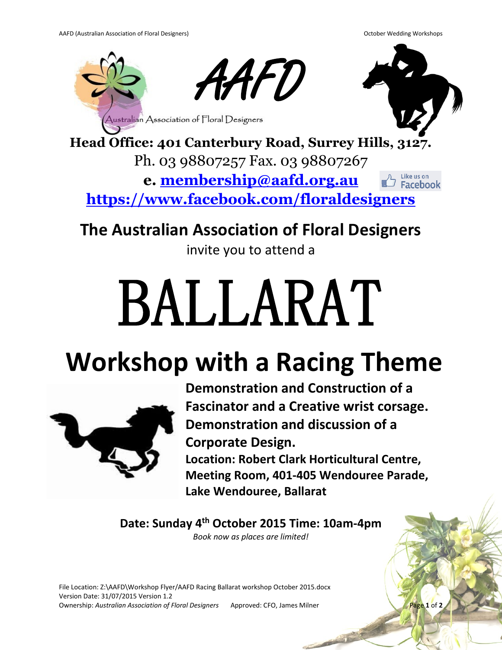

**Head Office: 401 Canterbury Road, Surrey Hills, 3127.** Ph. 03 98807257 Fax. 03 98807267

> **e. [membership@aafd.org.au](mailto:membership@aafd.org.au)** Like us on **Facebook**

**<https://www.facebook.com/floraldesigners>**

## **The Australian Association of Floral Designers**

invite you to attend a

## BALLARAT

## **Workshop with a Racing Theme**



**Demonstration and Construction of a Fascinator and a Creative wrist corsage. Demonstration and discussion of a Corporate Design. Location: Robert Clark Horticultural Centre, Meeting Room, 401-405 Wendouree Parade, Lake Wendouree, Ballarat**

**Date: Sunday 4th October 2015 Time: 10am-4pm** *Book now as places are limited!*

File Location: Z:\AAFD\Workshop Flyer/AAFD Racing Ballarat workshop October 2015.docx Version Date: 31/07/2015 Version 1.2 Ownership: Australian Association of Floral Designers Approved: CFO, James Milner Page 1 of 2